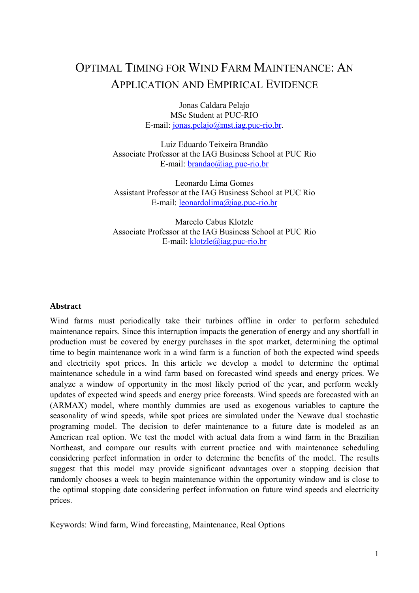# OPTIMAL TIMING FOR WIND FARM MAINTENANCE: AN APPLICATION AND EMPIRICAL EVIDENCE

Jonas Caldara Pelajo MSc Student at PUC-RIO E-mail: jonas.pelajo@mst.iag.puc-rio.br.

Luiz Eduardo Teixeira Brandão Associate Professor at the IAG Business School at PUC Rio E-mail: brandao@iag.puc-rio.br

Leonardo Lima Gomes Assistant Professor at the IAG Business School at PUC Rio E-mail: leonardolima@iag.puc-rio.br

Marcelo Cabus Klotzle Associate Professor at the IAG Business School at PUC Rio E-mail: klotzle@iag.puc-rio.br

#### **Abstract**

Wind farms must periodically take their turbines offline in order to perform scheduled maintenance repairs. Since this interruption impacts the generation of energy and any shortfall in production must be covered by energy purchases in the spot market, determining the optimal time to begin maintenance work in a wind farm is a function of both the expected wind speeds and electricity spot prices. In this article we develop a model to determine the optimal maintenance schedule in a wind farm based on forecasted wind speeds and energy prices. We analyze a window of opportunity in the most likely period of the year, and perform weekly updates of expected wind speeds and energy price forecasts. Wind speeds are forecasted with an (ARMAX) model, where monthly dummies are used as exogenous variables to capture the seasonality of wind speeds, while spot prices are simulated under the Newave dual stochastic programing model. The decision to defer maintenance to a future date is modeled as an American real option. We test the model with actual data from a wind farm in the Brazilian Northeast, and compare our results with current practice and with maintenance scheduling considering perfect information in order to determine the benefits of the model. The results suggest that this model may provide significant advantages over a stopping decision that randomly chooses a week to begin maintenance within the opportunity window and is close to the optimal stopping date considering perfect information on future wind speeds and electricity prices.

Keywords: Wind farm, Wind forecasting, Maintenance, Real Options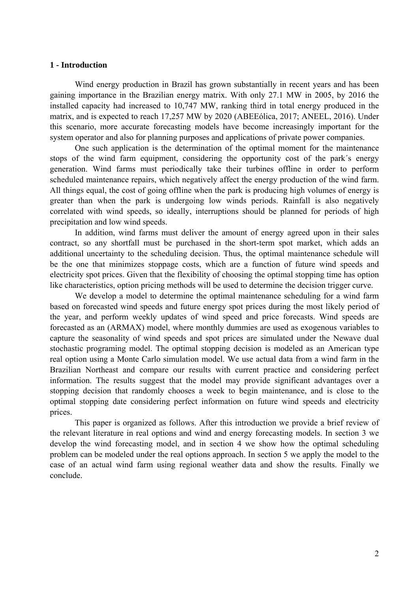#### **1 - Introduction**

Wind energy production in Brazil has grown substantially in recent years and has been gaining importance in the Brazilian energy matrix. With only 27.1 MW in 2005, by 2016 the installed capacity had increased to 10,747 MW, ranking third in total energy produced in the matrix, and is expected to reach 17,257 MW by 2020 (ABEEólica, 2017; ANEEL, 2016). Under this scenario, more accurate forecasting models have become increasingly important for the system operator and also for planning purposes and applications of private power companies.

One such application is the determination of the optimal moment for the maintenance stops of the wind farm equipment, considering the opportunity cost of the park´s energy generation. Wind farms must periodically take their turbines offline in order to perform scheduled maintenance repairs, which negatively affect the energy production of the wind farm. All things equal, the cost of going offline when the park is producing high volumes of energy is greater than when the park is undergoing low winds periods. Rainfall is also negatively correlated with wind speeds, so ideally, interruptions should be planned for periods of high precipitation and low wind speeds.

In addition, wind farms must deliver the amount of energy agreed upon in their sales contract, so any shortfall must be purchased in the short-term spot market, which adds an additional uncertainty to the scheduling decision. Thus, the optimal maintenance schedule will be the one that minimizes stoppage costs, which are a function of future wind speeds and electricity spot prices. Given that the flexibility of choosing the optimal stopping time has option like characteristics, option pricing methods will be used to determine the decision trigger curve.

We develop a model to determine the optimal maintenance scheduling for a wind farm based on forecasted wind speeds and future energy spot prices during the most likely period of the year, and perform weekly updates of wind speed and price forecasts. Wind speeds are forecasted as an (ARMAX) model, where monthly dummies are used as exogenous variables to capture the seasonality of wind speeds and spot prices are simulated under the Newave dual stochastic programing model. The optimal stopping decision is modeled as an American type real option using a Monte Carlo simulation model. We use actual data from a wind farm in the Brazilian Northeast and compare our results with current practice and considering perfect information. The results suggest that the model may provide significant advantages over a stopping decision that randomly chooses a week to begin maintenance, and is close to the optimal stopping date considering perfect information on future wind speeds and electricity prices.

This paper is organized as follows. After this introduction we provide a brief review of the relevant literature in real options and wind and energy forecasting models. In section 3 we develop the wind forecasting model, and in section 4 we show how the optimal scheduling problem can be modeled under the real options approach. In section 5 we apply the model to the case of an actual wind farm using regional weather data and show the results. Finally we conclude.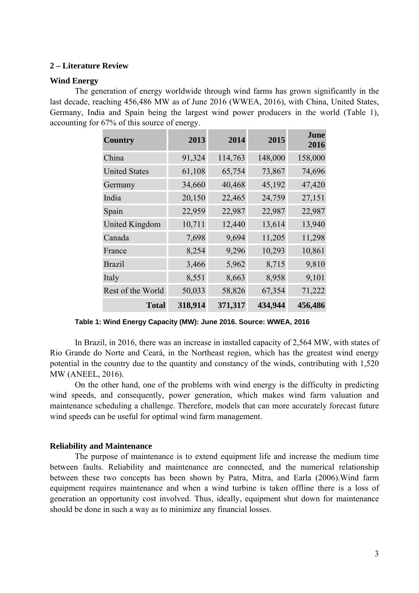#### **2 – Literature Review**

#### **Wind Energy**

The generation of energy worldwide through wind farms has grown significantly in the last decade, reaching 456,486 MW as of June 2016 (WWEA, 2016), with China, United States, Germany, India and Spain being the largest wind power producers in the world (Table 1), accounting for 67% of this source of energy.

| <b>Country</b>        | 2013    | 2014    | 2015    | June<br>2016 |
|-----------------------|---------|---------|---------|--------------|
| China                 | 91,324  | 114,763 | 148,000 | 158,000      |
| <b>United States</b>  | 61,108  | 65,754  | 73,867  | 74,696       |
| Germany               | 34,660  | 40,468  | 45,192  | 47,420       |
| India                 | 20,150  | 22,465  | 24,759  | 27,151       |
| Spain                 | 22,959  | 22,987  | 22,987  | 22,987       |
| <b>United Kingdom</b> | 10,711  | 12,440  | 13,614  | 13,940       |
| Canada                | 7,698   | 9,694   | 11,205  | 11,298       |
| France                | 8,254   | 9,296   | 10,293  | 10,861       |
| <b>Brazil</b>         | 3,466   | 5,962   | 8,715   | 9,810        |
| Italy                 | 8,551   | 8,663   | 8,958   | 9,101        |
| Rest of the World     | 50,033  | 58,826  | 67,354  | 71,222       |
| <b>Total</b>          | 318,914 | 371,317 | 434,944 | 456,486      |

**Table 1: Wind Energy Capacity (MW): June 2016. Source: WWEA, 2016** 

In Brazil, in 2016, there was an increase in installed capacity of 2,564 MW, with states of Rio Grande do Norte and Ceará, in the Northeast region, which has the greatest wind energy potential in the country due to the quantity and constancy of the winds, contributing with 1,520 MW (ANEEL, 2016).

On the other hand, one of the problems with wind energy is the difficulty in predicting wind speeds, and consequently, power generation, which makes wind farm valuation and maintenance scheduling a challenge. Therefore, models that can more accurately forecast future wind speeds can be useful for optimal wind farm management.

#### **Reliability and Maintenance**

The purpose of maintenance is to extend equipment life and increase the medium time between faults. Reliability and maintenance are connected, and the numerical relationship between these two concepts has been shown by Patra, Mitra, and Earla (2006).Wind farm equipment requires maintenance and when a wind turbine is taken offline there is a loss of generation an opportunity cost involved. Thus, ideally, equipment shut down for maintenance should be done in such a way as to minimize any financial losses.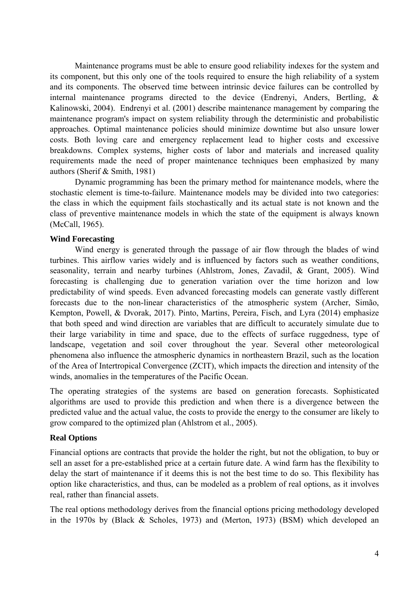Maintenance programs must be able to ensure good reliability indexes for the system and its component, but this only one of the tools required to ensure the high reliability of a system and its components. The observed time between intrinsic device failures can be controlled by internal maintenance programs directed to the device (Endrenyi, Anders, Bertling, & Kalinowski, 2004). Endrenyi et al. (2001) describe maintenance management by comparing the maintenance program's impact on system reliability through the deterministic and probabilistic approaches. Optimal maintenance policies should minimize downtime but also unsure lower costs. Both loving care and emergency replacement lead to higher costs and excessive breakdowns. Complex systems, higher costs of labor and materials and increased quality requirements made the need of proper maintenance techniques been emphasized by many authors (Sherif & Smith, 1981)

Dynamic programming has been the primary method for maintenance models, where the stochastic element is time-to-failure. Maintenance models may be divided into two categories: the class in which the equipment fails stochastically and its actual state is not known and the class of preventive maintenance models in which the state of the equipment is always known (McCall, 1965).

### **Wind Forecasting**

Wind energy is generated through the passage of air flow through the blades of wind turbines. This airflow varies widely and is influenced by factors such as weather conditions, seasonality, terrain and nearby turbines (Ahlstrom, Jones, Zavadil, & Grant, 2005). Wind forecasting is challenging due to generation variation over the time horizon and low predictability of wind speeds. Even advanced forecasting models can generate vastly different forecasts due to the non-linear characteristics of the atmospheric system (Archer, Simão, Kempton, Powell, & Dvorak, 2017). Pinto, Martins, Pereira, Fisch, and Lyra (2014) emphasize that both speed and wind direction are variables that are difficult to accurately simulate due to their large variability in time and space, due to the effects of surface ruggedness, type of landscape, vegetation and soil cover throughout the year. Several other meteorological phenomena also influence the atmospheric dynamics in northeastern Brazil, such as the location of the Area of Intertropical Convergence (ZCIT), which impacts the direction and intensity of the winds, anomalies in the temperatures of the Pacific Ocean.

The operating strategies of the systems are based on generation forecasts. Sophisticated algorithms are used to provide this prediction and when there is a divergence between the predicted value and the actual value, the costs to provide the energy to the consumer are likely to grow compared to the optimized plan (Ahlstrom et al., 2005).

#### **Real Options**

Financial options are contracts that provide the holder the right, but not the obligation, to buy or sell an asset for a pre-established price at a certain future date. A wind farm has the flexibility to delay the start of maintenance if it deems this is not the best time to do so. This flexibility has option like characteristics, and thus, can be modeled as a problem of real options, as it involves real, rather than financial assets.

The real options methodology derives from the financial options pricing methodology developed in the 1970s by (Black & Scholes, 1973) and (Merton, 1973) (BSM) which developed an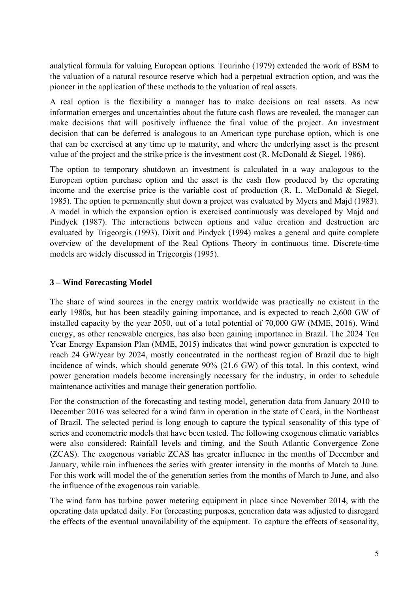analytical formula for valuing European options. Tourinho (1979) extended the work of BSM to the valuation of a natural resource reserve which had a perpetual extraction option, and was the pioneer in the application of these methods to the valuation of real assets.

A real option is the flexibility a manager has to make decisions on real assets. As new information emerges and uncertainties about the future cash flows are revealed, the manager can make decisions that will positively influence the final value of the project. An investment decision that can be deferred is analogous to an American type purchase option, which is one that can be exercised at any time up to maturity, and where the underlying asset is the present value of the project and the strike price is the investment cost  $(R.$  McDonald  $&$  Siegel, 1986).

The option to temporary shutdown an investment is calculated in a way analogous to the European option purchase option and the asset is the cash flow produced by the operating income and the exercise price is the variable cost of production  $(R. L. Mc$ Donald  $&$  Siegel, 1985). The option to permanently shut down a project was evaluated by Myers and Majd (1983). A model in which the expansion option is exercised continuously was developed by Majd and Pindyck (1987). The interactions between options and value creation and destruction are evaluated by Trigeorgis (1993). Dixit and Pindyck (1994) makes a general and quite complete overview of the development of the Real Options Theory in continuous time. Discrete-time models are widely discussed in Trigeorgis (1995).

## **3 – Wind Forecasting Model**

The share of wind sources in the energy matrix worldwide was practically no existent in the early 1980s, but has been steadily gaining importance, and is expected to reach 2,600 GW of installed capacity by the year 2050, out of a total potential of 70,000 GW (MME, 2016). Wind energy, as other renewable energies, has also been gaining importance in Brazil. The 2024 Ten Year Energy Expansion Plan (MME, 2015) indicates that wind power generation is expected to reach 24 GW/year by 2024, mostly concentrated in the northeast region of Brazil due to high incidence of winds, which should generate 90% (21.6 GW) of this total. In this context, wind power generation models become increasingly necessary for the industry, in order to schedule maintenance activities and manage their generation portfolio.

For the construction of the forecasting and testing model, generation data from January 2010 to December 2016 was selected for a wind farm in operation in the state of Ceará, in the Northeast of Brazil. The selected period is long enough to capture the typical seasonality of this type of series and econometric models that have been tested. The following exogenous climatic variables were also considered: Rainfall levels and timing, and the South Atlantic Convergence Zone (ZCAS). The exogenous variable ZCAS has greater influence in the months of December and January, while rain influences the series with greater intensity in the months of March to June. For this work will model the of the generation series from the months of March to June, and also the influence of the exogenous rain variable.

The wind farm has turbine power metering equipment in place since November 2014, with the operating data updated daily. For forecasting purposes, generation data was adjusted to disregard the effects of the eventual unavailability of the equipment. To capture the effects of seasonality,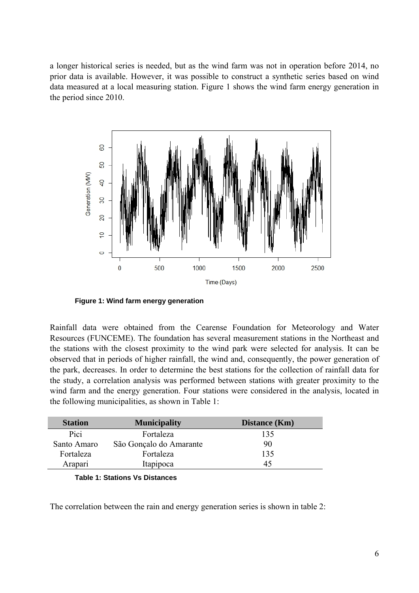a longer historical series is needed, but as the wind farm was not in operation before 2014, no prior data is available. However, it was possible to construct a synthetic series based on wind data measured at a local measuring station. Figure 1 shows the wind farm energy generation in the period since 2010.



**Figure 1: Wind farm energy generation** 

Rainfall data were obtained from the Cearense Foundation for Meteorology and Water Resources (FUNCEME). The foundation has several measurement stations in the Northeast and the stations with the closest proximity to the wind park were selected for analysis. It can be observed that in periods of higher rainfall, the wind and, consequently, the power generation of the park, decreases. In order to determine the best stations for the collection of rainfall data for the study, a correlation analysis was performed between stations with greater proximity to the wind farm and the energy generation. Four stations were considered in the analysis, located in the following municipalities, as shown in Table 1:

| <b>Station</b> | <b>Municipality</b>     | <b>Distance</b> (Km) |
|----------------|-------------------------|----------------------|
| Pici           | Fortaleza               | 135                  |
| Santo Amaro    | São Gonçalo do Amarante | 90                   |
| Fortaleza      | Fortaleza               | 135                  |
| Arapari        | Itapipoca               | 45                   |

|  | <b>Table 1: Stations Vs Distances</b> |
|--|---------------------------------------|
|--|---------------------------------------|

The correlation between the rain and energy generation series is shown in table 2: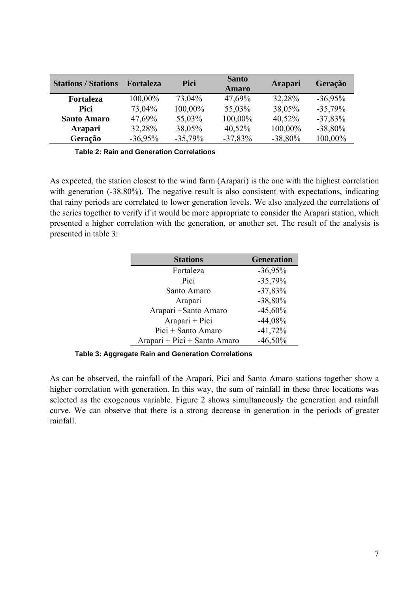| <b>Stations / Stations</b> | <b>Fortaleza</b> | Pici      | <b>Santo</b><br><b>Amaro</b> | Arapari   | Geração   |
|----------------------------|------------------|-----------|------------------------------|-----------|-----------|
| Fortaleza                  | 100,00%          | 73,04%    | 47,69%                       | 32,28%    | $-36,95%$ |
| Pici                       | 73,04%           | 100,00%   | 55,03%                       | 38,05%    | $-35,79%$ |
| <b>Santo Amaro</b>         | 47,69%           | 55,03%    | 100,00%                      | 40,52%    | $-37,83%$ |
| <b>Arapari</b>             | 32,28%           | 38,05%    | 40,52%                       | 100,00%   | $-38,80%$ |
| Geração                    | $-36,95%$        | $-35,79%$ | $-37,83%$                    | $-38,80%$ | 100,00%   |

**Table 2: Rain and Generation Correlations** 

As expected, the station closest to the wind farm (Arapari) is the one with the highest correlation with generation (-38.80%). The negative result is also consistent with expectations, indicating that rainy periods are correlated to lower generation levels. We also analyzed the correlations of the series together to verify if it would be more appropriate to consider the Arapari station, which presented a higher correlation with the generation, or another set. The result of the analysis is presented in table 3:

| <b>Stations</b>              | <b>Generation</b> |
|------------------------------|-------------------|
| Fortaleza                    | $-36,95%$         |
| Pici                         | $-35,79%$         |
| Santo Amaro                  | $-37,83%$         |
| Arapari                      | $-38,80%$         |
| Arapari + Santo Amaro        | $-45,60%$         |
| Arapari + Pici               | $-44,08%$         |
| Pici + Santo Amaro           | $-41,72%$         |
| Arapari + Pici + Santo Amaro | $-46,50\%$        |

**Table 3: Aggregate Rain and Generation Correlations** 

As can be observed, the rainfall of the Arapari, Pici and Santo Amaro stations together show a higher correlation with generation. In this way, the sum of rainfall in these three locations was selected as the exogenous variable. Figure 2 shows simultaneously the generation and rainfall curve. We can observe that there is a strong decrease in generation in the periods of greater rainfall.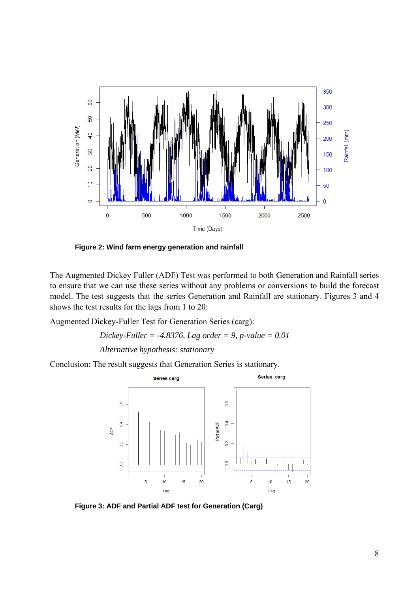

**Figure 2: Wind farm energy generation and rainfall** 

The Augmented Dickey Fuller (ADF) Test was performed to both Generation and Rainfall series to ensure that we can use these series without any problems or conversions to build the forecast model. The test suggests that the series Generation and Rainfall are stationary. Figures 3 and 4 shows the test results for the lags from 1 to 20:

Augmented Dickey-Fuller Test for Generation Series (carg):

$$
Dickey\text{-}Fuller = -4.8376, Lag order = 9, p-value = 0.01
$$
\n
$$
Alternative hypothesis: stationary
$$

Conclusion: The result suggests that Generation Series is stationary.



**Figure 3: ADF and Partial ADF test for Generation (Carg)**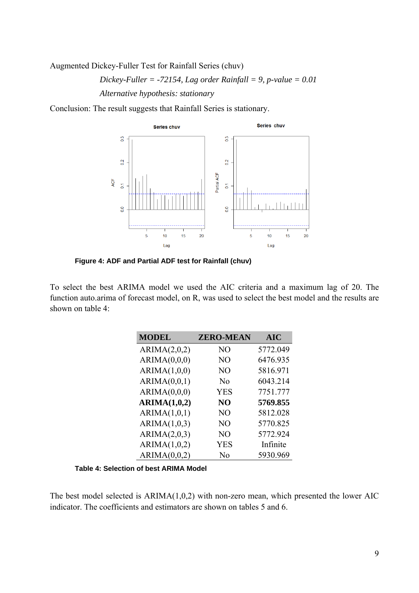Augmented Dickey-Fuller Test for Rainfall Series (chuv)

$$
Dickey\text{-}Fuller = -72154, Lag order Rainfall = 9, p-value = 0.01
$$
  
Alternative hypothesis: stationary

Conclusion: The result suggests that Rainfall Series is stationary.



**Figure 4: ADF and Partial ADF test for Rainfall (chuv)** 

To select the best ARIMA model we used the AIC criteria and a maximum lag of 20. The function auto.arima of forecast model, on R, was used to select the best model and the results are shown on table 4:

| <b>MODEL</b> | <b>ZERO-MEAN</b> | <b>AIC</b> |
|--------------|------------------|------------|
| ARIMA(2,0,2) | NO               | 5772.049   |
| ARIMA(0,0,0) | N <sub>O</sub>   | 6476.935   |
| ARIMA(1,0,0) | N <sub>O</sub>   | 5816.971   |
| ARIMA(0,0,1) | N <sub>0</sub>   | 6043.214   |
| ARIMA(0,0,0) | <b>YES</b>       | 7751.777   |
| ARIMA(1,0,2) | NO               | 5769.855   |
| ARIMA(1,0,1) | N <sub>O</sub>   | 5812.028   |
| ARIMA(1,0,3) | N <sub>O</sub>   | 5770.825   |
| ARIMA(2,0,3) | N <sub>O</sub>   | 5772.924   |
| ARIMA(1,0,2) | <b>YES</b>       | Infinite   |
| ARIMA(0,0,2) | N <sub>0</sub>   | 5930.969   |

**Table 4: Selection of best ARIMA Model** 

The best model selected is ARIMA(1,0,2) with non-zero mean, which presented the lower AIC indicator. The coefficients and estimators are shown on tables 5 and 6.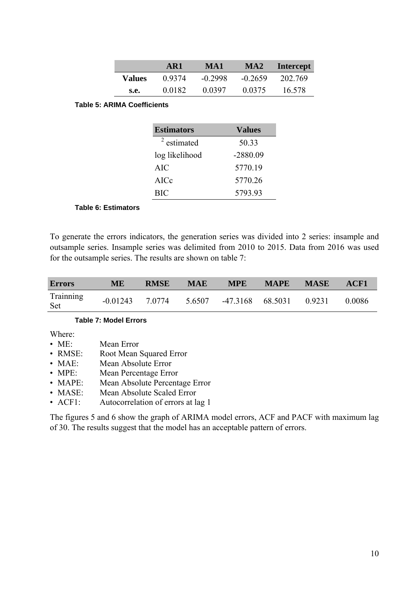|               | AR1    | MA1       | MA <sub>2</sub> | Intercept |
|---------------|--------|-----------|-----------------|-----------|
| <b>Values</b> | 0.9374 | $-0.2998$ | $-0.2659$       | 202.769   |
| s.e.          | 0.0182 | 0.0397    | 0.0375          | 16.578    |

#### **Table 5: ARIMA Coefficients**

| <b>Estimators</b> | <b>Values</b> |  |  |
|-------------------|---------------|--|--|
| $2$ estimated     | 50.33         |  |  |
| log likelihood    | $-2880.09$    |  |  |
| <b>AIC</b>        | 5770.19       |  |  |
| AICc              | 5770.26       |  |  |
| <b>BIC</b>        | 5793.93       |  |  |

#### **Table 6: Estimators**

To generate the errors indicators, the generation series was divided into 2 series: insample and outsample series. Insample series was delimited from 2010 to 2015. Data from 2016 was used for the outsample series. The results are shown on table 7:

| <b>Errors</b>    | <b>ME</b> | <b>RMSE</b> | <b>MAE</b> | <b>MPE</b>                                       | MAPE MASE | ACF1   |
|------------------|-----------|-------------|------------|--------------------------------------------------|-----------|--------|
| Trainning<br>Set |           |             |            | $-0.01243$ 7.0774 5.6507 -47.3168 68.5031 0.9231 |           | 0.0086 |

#### **Table 7: Model Errors**

Where:

- ME: Mean Error
- RMSE: Root Mean Squared Error
- MAE: Mean Absolute Error
- MPE: Mean Percentage Error
- MAPE: Mean Absolute Percentage Error
- MASE: Mean Absolute Scaled Error
- ACF1: Autocorrelation of errors at lag 1

The figures 5 and 6 show the graph of ARIMA model errors, ACF and PACF with maximum lag of 30. The results suggest that the model has an acceptable pattern of errors.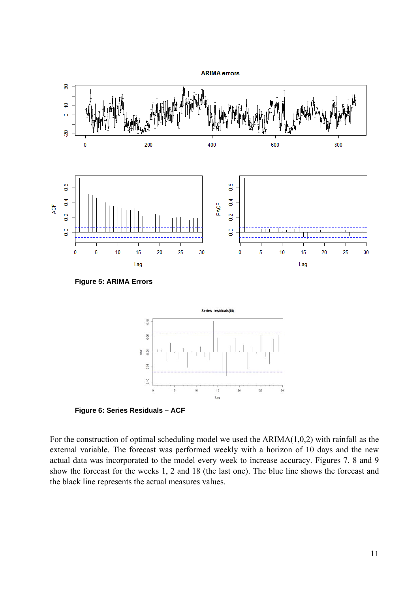

**Figure 6: Series Residuals – ACF** 

For the construction of optimal scheduling model we used the  $ARIMA(1,0,2)$  with rainfall as the external variable. The forecast was performed weekly with a horizon of 10 days and the new actual data was incorporated to the model every week to increase accuracy. Figures 7, 8 and 9 show the forecast for the weeks 1, 2 and 18 (the last one). The blue line shows the forecast and the black line represents the actual measures values.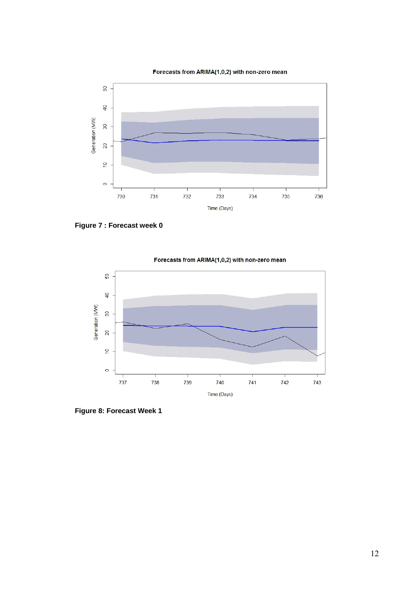

Forecasts from ARIMA(1,0,2) with non-zero mean

**Figure 7 : Forecast week 0** 



Forecasts from ARIMA(1,0,2) with non-zero mean

**Figure 8: Forecast Week 1**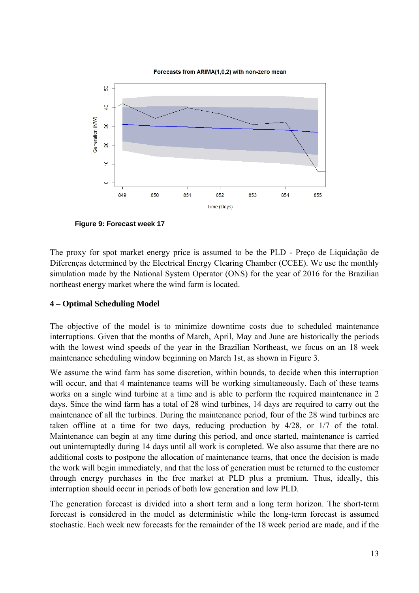

**Figure 9: Forecast week 17** 

The proxy for spot market energy price is assumed to be the PLD - Preço de Liquidação de Diferenças determined by the Electrical Energy Clearing Chamber (CCEE). We use the monthly simulation made by the National System Operator (ONS) for the year of 2016 for the Brazilian northeast energy market where the wind farm is located.

## **4 – Optimal Scheduling Model**

The objective of the model is to minimize downtime costs due to scheduled maintenance interruptions. Given that the months of March, April, May and June are historically the periods with the lowest wind speeds of the year in the Brazilian Northeast, we focus on an 18 week maintenance scheduling window beginning on March 1st, as shown in Figure 3.

We assume the wind farm has some discretion, within bounds, to decide when this interruption will occur, and that 4 maintenance teams will be working simultaneously. Each of these teams works on a single wind turbine at a time and is able to perform the required maintenance in 2 days. Since the wind farm has a total of 28 wind turbines, 14 days are required to carry out the maintenance of all the turbines. During the maintenance period, four of the 28 wind turbines are taken offline at a time for two days, reducing production by 4/28, or 1/7 of the total. Maintenance can begin at any time during this period, and once started, maintenance is carried out uninterruptedly during 14 days until all work is completed. We also assume that there are no additional costs to postpone the allocation of maintenance teams, that once the decision is made the work will begin immediately, and that the loss of generation must be returned to the customer through energy purchases in the free market at PLD plus a premium. Thus, ideally, this interruption should occur in periods of both low generation and low PLD.

The generation forecast is divided into a short term and a long term horizon. The short-term forecast is considered in the model as deterministic while the long-term forecast is assumed stochastic. Each week new forecasts for the remainder of the 18 week period are made, and if the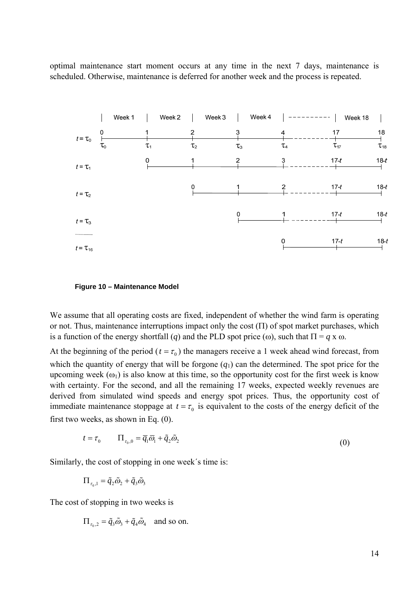optimal maintenance start moment occurs at any time in the next 7 days, maintenance is scheduled. Otherwise, maintenance is deferred for another week and the process is repeated.



#### **Figure 10 – Maintenance Model**

We assume that all operating costs are fixed, independent of whether the wind farm is operating or not. Thus, maintenance interruptions impact only the cost  $(\Pi)$  of spot market purchases, which is a function of the energy shortfall (*q*) and the PLD spot price ( $\omega$ ), such that  $\Pi = q \times \omega$ .

At the beginning of the period ( $t = \tau_0$ ) the managers receive a 1 week ahead wind forecast, from which the quantity of energy that will be forgone  $(q_1)$  can the determined. The spot price for the upcoming week  $(\omega_1)$  is also know at this time, so the opportunity cost for the first week is know with certainty. For the second, and all the remaining 17 weeks, expected weekly revenues are derived from simulated wind speeds and energy spot prices. Thus, the opportunity cost of immediate maintenance stoppage at  $t = \tau_0$  is equivalent to the costs of the energy deficit of the first two weeks, as shown in Eq. (0).

$$
t = \tau_0 \qquad \Pi_{\tau_0,0} = \overline{q}_1 \overline{\omega}_1 + \tilde{q}_2 \tilde{\omega}_2 \tag{0}
$$

Similarly, the cost of stopping in one week´s time is:

$$
\Pi_{\tau_0,1} = \tilde{q}_2 \tilde{\omega}_2 + \tilde{q}_3 \tilde{\omega}_3
$$

The cost of stopping in two weeks is

$$
\Pi_{\tau_0,2} = \tilde{q}_3 \tilde{\omega}_3 + \tilde{q}_4 \tilde{\omega}_4 \quad \text{and so on.}
$$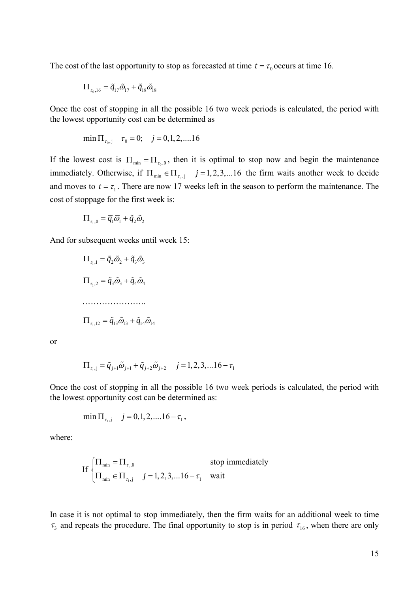The cost of the last opportunity to stop as forecasted at time  $t = \tau_0$  occurs at time 16.

$$
\Pi_{\tau_0,16}=\tilde{q}_{17}\tilde{\varpi}_{17}+\tilde{q}_{18}\tilde{\varpi}_{18}
$$

Once the cost of stopping in all the possible 16 two week periods is calculated, the period with the lowest opportunity cost can be determined as

$$
\min \Pi_{\tau_0, j} \quad \tau_0 = 0; \quad j = 0, 1, 2, \dots 16
$$

If the lowest cost is  $\Pi_{min} = \Pi_{\tau_0,0}$ , then it is optimal to stop now and begin the maintenance immediately. Otherwise, if  $\Pi_{\text{min}} \in \Pi_{\tau_{0}, j}$   $j = 1, 2, 3, \dots 16$  the firm waits another week to decide and moves to  $t = \tau_1$ . There are now 17 weeks left in the season to perform the maintenance. The cost of stoppage for the first week is:

$$
\Pi_{\tau_1,0} = \overline{q}_1 \overline{\omega}_1 + \tilde{q}_2 \tilde{\omega}_2
$$

And for subsequent weeks until week 15:

$$
\Pi_{\tau_1,1} = \tilde{q}_2 \tilde{\omega}_2 + \tilde{q}_3 \tilde{\omega}_3
$$
\n
$$
\Pi_{\tau_1,2} = \tilde{q}_3 \tilde{\omega}_3 + \tilde{q}_4 \tilde{\omega}_4
$$
\n
$$
\dots
$$
\n
$$
\Pi_{\tau_1,12} = \tilde{q}_{13} \tilde{\omega}_{13} + \tilde{q}_{14} \tilde{\omega}_{14}
$$

or

$$
\Pi_{\tau_{1},j} = \tilde{q}_{j+1}\tilde{\omega}_{j+1} + \tilde{q}_{j+2}\tilde{\omega}_{j+2} \quad j = 1, 2, 3, \dots 16 - \tau_{1}
$$

Once the cost of stopping in all the possible 16 two week periods is calculated, the period with the lowest opportunity cost can be determined as:

$$
\min \Pi_{\tau_1, j} \quad j = 0, 1, 2, \dots 16 - \tau_1,
$$

where:

If 
$$
\begin{cases} \Pi_{\min} = \Pi_{\tau_1,0} & \text{stop immediately} \\ \Pi_{\min} \in \Pi_{\tau_1,j} & j = 1,2,3,...16 - \tau_1 & \text{wait} \end{cases}
$$

In case it is not optimal to stop immediately, then the firm waits for an additional week to time  $\tau_3$  and repeats the procedure. The final opportunity to stop is in period  $\tau_{16}$ , when there are only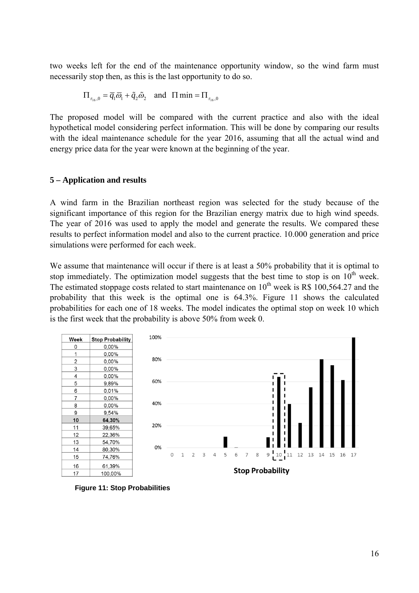two weeks left for the end of the maintenance opportunity window, so the wind farm must necessarily stop then, as this is the last opportunity to do so.

$$
\Pi_{\tau_{16},0} = \overline{q}_1 \overline{\omega}_1 + \widetilde{q}_2 \widetilde{\omega}_2 \quad \text{and} \quad \Pi \min = \Pi_{\tau_{16},0}
$$

The proposed model will be compared with the current practice and also with the ideal hypothetical model considering perfect information. This will be done by comparing our results with the ideal maintenance schedule for the year 2016, assuming that all the actual wind and energy price data for the year were known at the beginning of the year.

#### **5 – Application and results**

A wind farm in the Brazilian northeast region was selected for the study because of the significant importance of this region for the Brazilian energy matrix due to high wind speeds. The year of 2016 was used to apply the model and generate the results. We compared these results to perfect information model and also to the current practice. 10.000 generation and price simulations were performed for each week.

We assume that maintenance will occur if there is at least a 50% probability that it is optimal to stop immediately. The optimization model suggests that the best time to stop is on  $10<sup>th</sup>$  week. The estimated stoppage costs related to start maintenance on  $10^{th}$  week is R\$ 100,564.27 and the probability that this week is the optimal one is 64.3%. Figure 11 shows the calculated probabilities for each one of 18 weeks. The model indicates the optimal stop on week 10 which is the first week that the probability is above 50% from week 0.



**Figure 11: Stop Probabilities**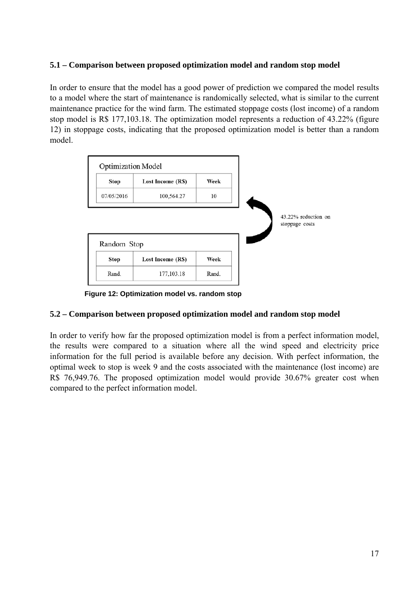## **5.1 – Comparison between proposed optimization model and random stop model**

In order to ensure that the model has a good power of prediction we compared the model results to a model where the start of maintenance is randomically selected, what is similar to the current maintenance practice for the wind farm. The estimated stoppage costs (lost income) of a random stop model is R\$ 177,103.18. The optimization model represents a reduction of 43.22% (figure 12) in stoppage costs, indicating that the proposed optimization model is better than a random model.



 **Figure 12: Optimization model vs. random stop** 

## **5.2 – Comparison between proposed optimization model and random stop model**

In order to verify how far the proposed optimization model is from a perfect information model, the results were compared to a situation where all the wind speed and electricity price information for the full period is available before any decision. With perfect information, the optimal week to stop is week 9 and the costs associated with the maintenance (lost income) are R\$ 76,949.76. The proposed optimization model would provide 30.67% greater cost when compared to the perfect information model.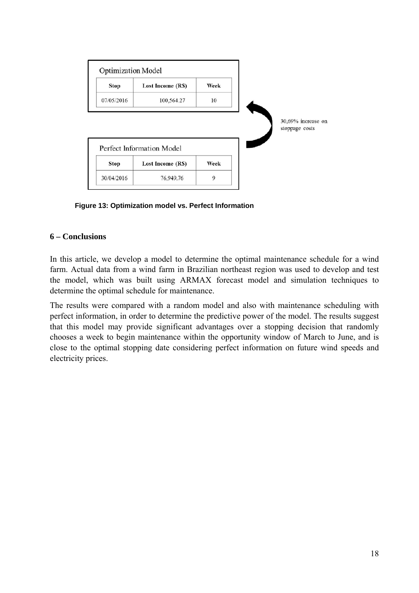

**Figure 13: Optimization model vs. Perfect Information** 

## **6 – Conclusions**

In this article, we develop a model to determine the optimal maintenance schedule for a wind farm. Actual data from a wind farm in Brazilian northeast region was used to develop and test the model, which was built using ARMAX forecast model and simulation techniques to determine the optimal schedule for maintenance.

The results were compared with a random model and also with maintenance scheduling with perfect information, in order to determine the predictive power of the model. The results suggest that this model may provide significant advantages over a stopping decision that randomly chooses a week to begin maintenance within the opportunity window of March to June, and is close to the optimal stopping date considering perfect information on future wind speeds and electricity prices.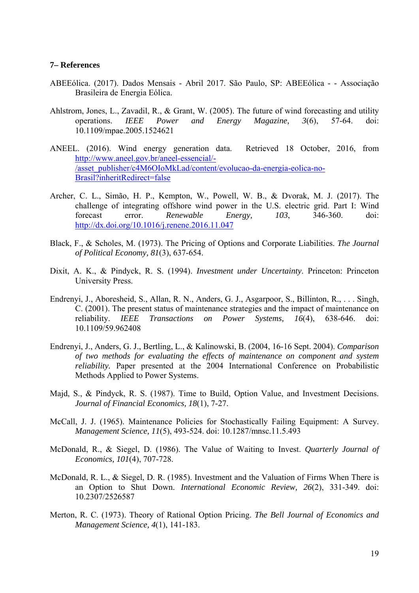#### **7– References**

- ABEEólica. (2017). Dados Mensais Abril 2017. São Paulo, SP: ABEEólica - Associação Brasileira de Energia Eólica.
- Ahlstrom, Jones, L., Zavadil, R., & Grant, W. (2005). The future of wind forecasting and utility operations. *IEEE Power and Energy Magazine, 3*(6), 57-64. doi: 10.1109/mpae.2005.1524621
- ANEEL. (2016). Wind energy generation data. Retrieved 18 October, 2016, from http://www.aneel.gov.br/aneel-essencial/- /asset\_publisher/c4M6OIoMkLad/content/evolucao-da-energia-eolica-no-Brasil?inheritRedirect=false
- Archer, C. L., Simão, H. P., Kempton, W., Powell, W. B., & Dvorak, M. J. (2017). The challenge of integrating offshore wind power in the U.S. electric grid. Part I: Wind forecast error. *Renewable Energy, 103*, 346-360. doi: http://dx.doi.org/10.1016/j.renene.2016.11.047
- Black, F., & Scholes, M. (1973). The Pricing of Options and Corporate Liabilities. *The Journal of Political Economy, 81*(3), 637-654.
- Dixit, A. K., & Pindyck, R. S. (1994). *Investment under Uncertainty*. Princeton: Princeton University Press.
- Endrenyi, J., Aboresheid, S., Allan, R. N., Anders, G. J., Asgarpoor, S., Billinton, R., . . . Singh, C. (2001). The present status of maintenance strategies and the impact of maintenance on reliability. *IEEE Transactions on Power Systems, 16*(4), 638-646. doi: 10.1109/59.962408
- Endrenyi, J., Anders, G. J., Bertling, L., & Kalinowski, B. (2004, 16-16 Sept. 2004). *Comparison of two methods for evaluating the effects of maintenance on component and system reliability.* Paper presented at the 2004 International Conference on Probabilistic Methods Applied to Power Systems.
- Majd, S., & Pindyck, R. S. (1987). Time to Build, Option Value, and Investment Decisions. *Journal of Financial Economics, 18*(1), 7-27.
- McCall, J. J. (1965). Maintenance Policies for Stochastically Failing Equipment: A Survey. *Management Science, 11*(5), 493-524. doi: 10.1287/mnsc.11.5.493
- McDonald, R., & Siegel, D. (1986). The Value of Waiting to Invest. *Quarterly Journal of Economics, 101*(4), 707-728.
- McDonald, R. L., & Siegel, D. R. (1985). Investment and the Valuation of Firms When There is an Option to Shut Down. *International Economic Review, 26*(2), 331-349. doi: 10.2307/2526587
- Merton, R. C. (1973). Theory of Rational Option Pricing. *The Bell Journal of Economics and Management Science, 4*(1), 141-183.